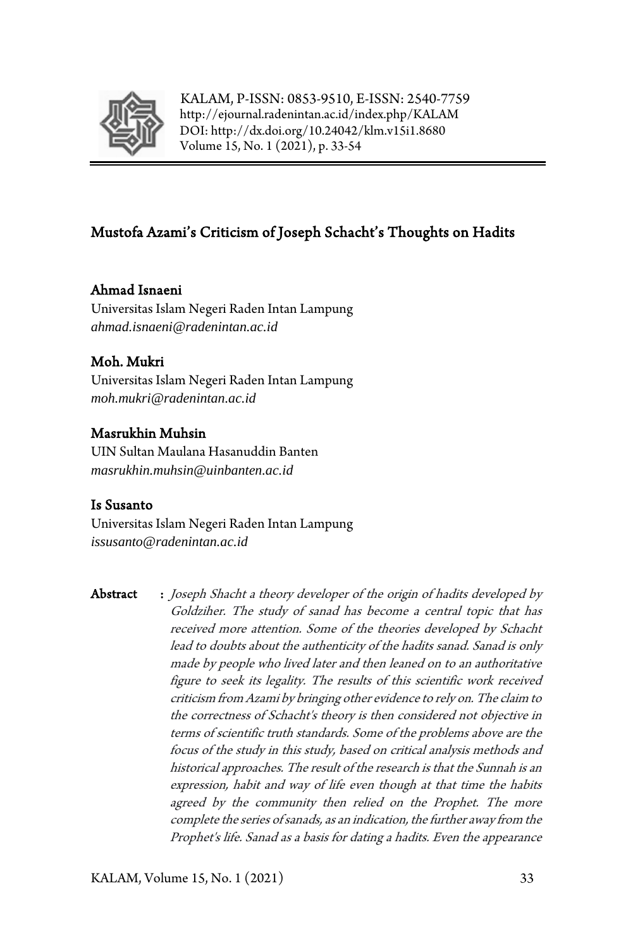

KALAM, P-ISSN: 0853-9510, E-ISSN: 2540-7759 <http://ejournal.radenintan.ac.id/index.php/KALAM> DOI[: http://dx.doi.org/10.24042/klm.v15i1.8680](http://dx.doi.org/10.24042/klm.v15i1.8680) Volume 15, No. 1 (2021), p. 33-54

# Mustofa Azami's Criticism of Joseph Schacht's Thoughts on Hadits

# Ahmad Isnaeni

Universitas Islam Negeri Raden Intan Lampung *ahmad.isnaeni@radenintan.ac.id*

# Moh. Mukri

Universitas Islam Negeri Raden Intan Lampung *moh.mukri@radenintan.ac.id*

# Masrukhin Muhsin

UIN Sultan Maulana Hasanuddin Banten *masrukhin.muhsin@uinbanten.ac.id*

# Is Susanto

Universitas Islam Negeri Raden Intan Lampung *issusanto@radenintan.ac.id*

Abstract : Joseph Shacht a theory developer of the origin of hadits developed by Goldziher. The study of sanad has become a central topic that has received more attention. Some of the theories developed by Schacht lead to doubts about the authenticity of the hadits sanad. Sanad is only made by people who lived later and then leaned on to an authoritative figure to seek its legality. The results of this scientific work received criticism from Azami by bringing other evidence to rely on. The claim to the correctness of Schacht's theory is then considered not objective in terms of scientific truth standards. Some of the problems above are the focus of the study in this study, based on critical analysis methods and historical approaches. The result of the research is that the Sunnah is an expression, habit and way of life even though at that time the habits agreed by the community then relied on the Prophet. The more complete the series of sanads, as an indication, the further away from the Prophet's life. Sanad as a basis for dating a hadits. Even the appearance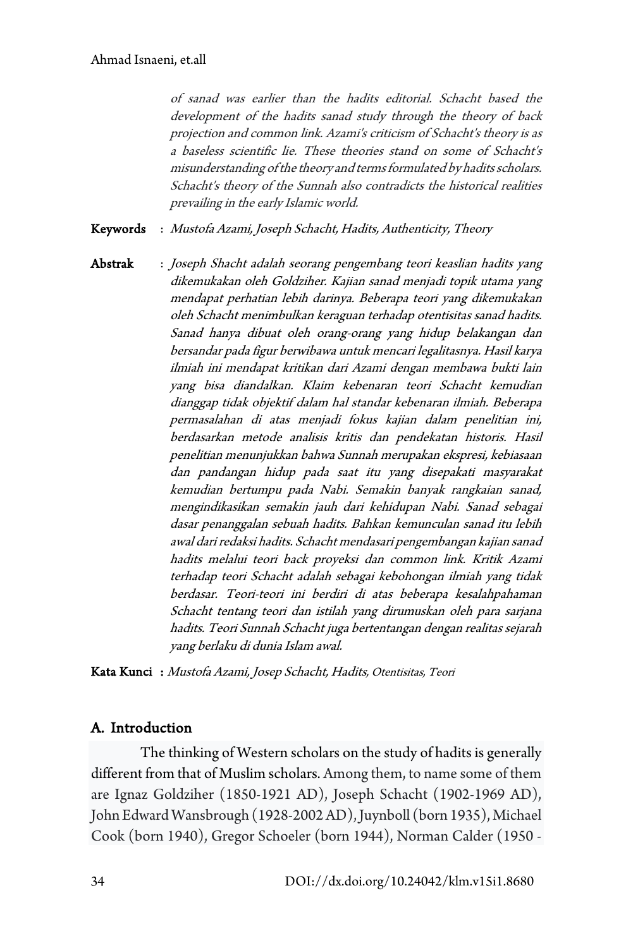of sanad was earlier than the hadits editorial. Schacht based the development of the hadits sanad study through the theory of back projection and common link. Azami's criticism of Schacht's theory is as a baseless scientific lie. These theories stand on some of Schacht's misunderstanding of the theory and terms formulated by hadits scholars. Schacht's theory of the Sunnah also contradicts the historical realities prevailing in the early Islamic world.

Keywords : Mustofa Azami, Joseph Schacht, Hadits, Authenticity, Theory

Abstrak : Joseph Shacht adalah seorang pengembang teori keaslian hadits yang dikemukakan oleh Goldziher. Kajian sanad menjadi topik utama yang mendapat perhatian lebih darinya. Beberapa teori yang dikemukakan oleh Schacht menimbulkan keraguan terhadap otentisitas sanad hadits. Sanad hanya dibuat oleh orang-orang yang hidup belakangan dan bersandar pada figur berwibawa untuk mencari legalitasnya. Hasil karya ilmiah ini mendapat kritikan dari Azami dengan membawa bukti lain yang bisa diandalkan. Klaim kebenaran teori Schacht kemudian dianggap tidak objektif dalam hal standar kebenaran ilmiah. Beberapa permasalahan di atas menjadi fokus kajian dalam penelitian ini, berdasarkan metode analisis kritis dan pendekatan historis. Hasil penelitian menunjukkan bahwa Sunnah merupakan ekspresi, kebiasaan dan pandangan hidup pada saat itu yang disepakati masyarakat kemudian bertumpu pada Nabi. Semakin banyak rangkaian sanad, mengindikasikan semakin jauh dari kehidupan Nabi. Sanad sebagai dasar penanggalan sebuah hadits. Bahkan kemunculan sanad itu lebih awal dari redaksi hadits. Schacht mendasari pengembangan kajian sanad hadits melalui teori back proyeksi dan common link. Kritik Azami terhadap teori Schacht adalah sebagai kebohongan ilmiah yang tidak berdasar. Teori-teori ini berdiri di atas beberapa kesalahpahaman Schacht tentang teori dan istilah yang dirumuskan oleh para sarjana hadits. Teori Sunnah Schacht juga bertentangan dengan realitas sejarah yang berlaku di dunia Islam awal.

Kata Kunci : Mustofa Azami, Josep Schacht, Hadits, Otentisitas, Teori

# A. Introduction

The thinking of Western scholars on the study of hadits is generally different from that of Muslim scholars. Among them, to name some of them are Ignaz Goldziher (1850-1921 AD), Joseph Schacht (1902-1969 AD), John Edward Wansbrough (1928-2002 AD), Juynboll (born 1935), Michael Cook (born 1940), Gregor Schoeler (born 1944), Norman Calder (1950 -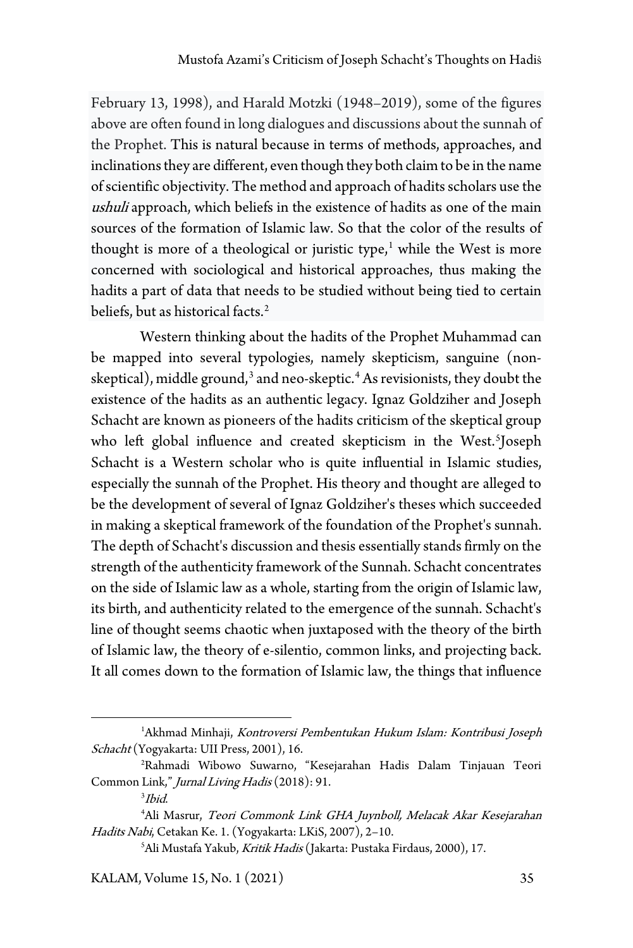February 13, 1998), and Harald Motzki (1948–2019), some of the figures above are often found in long dialogues and discussions about the sunnah of the Prophet. This is natural because in terms of methods, approaches, and inclinations they are different, even though they both claim to be in the name of scientific objectivity. The method and approach of hadits scholars use the ushuli approach, which beliefs in the existence of hadits as one of the main sources of the formation of Islamic law. So that the color of the results of thought is more of a theological or juristic type, $1$  while the West is more concerned with sociological and historical approaches, thus making the hadits a part of data that needs to be studied without being tied to certain beliefs, but as historical facts.<sup>[2](#page-2-1)</sup>

Western thinking about the hadits of the Prophet Muhammad can be mapped into several typologies, namely skepticism, sanguine (non-skeptical), middle ground,<sup>[3](#page-2-2)</sup> and neo-skeptic.<sup>[4](#page-2-3)</sup> As revisionists, they doubt the existence of the hadits as an authentic legacy. Ignaz Goldziher and Joseph Schacht are known as pioneers of the hadits criticism of the skeptical group who left global influence and created skepticism in the West.<sup>[5](#page-2-4)</sup>Joseph Schacht is a Western scholar who is quite influential in Islamic studies, especially the sunnah of the Prophet. His theory and thought are alleged to be the development of several of Ignaz Goldziher's theses which succeeded in making a skeptical framework of the foundation of the Prophet's sunnah. The depth of Schacht's discussion and thesis essentially stands firmly on the strength of the authenticity framework of the Sunnah. Schacht concentrates on the side of Islamic law as a whole, starting from the origin of Islamic law, its birth, and authenticity related to the emergence of the sunnah. Schacht's line of thought seems chaotic when juxtaposed with the theory of the birth of Islamic law, the theory of e-silentio, common links, and projecting back. It all comes down to the formation of Islamic law, the things that influence

<span id="page-2-0"></span><sup>1</sup> Akhmad Minhaji, Kontroversi Pembentukan Hukum Islam: Kontribusi Joseph Schacht (Yogyakarta: UII Press, 2001), 16.

<span id="page-2-1"></span><sup>2</sup> Rahmadi Wibowo Suwarno, "Kesejarahan Hadis Dalam Tinjauan Teori Common Link," Jurnal Living Hadis (2018): 91.

<sup>3</sup> Ibid.

<span id="page-2-4"></span><span id="page-2-3"></span><span id="page-2-2"></span><sup>4</sup> Ali Masrur, Teori Commonk Link GHA Juynboll, Melacak Akar Kesejarahan Hadits Nabi, Cetakan Ke. 1. (Yogyakarta: LKiS, 2007), 2–10.

<sup>&</sup>lt;sup>5</sup>Ali Mustafa Yakub*, Kritik Hadis* (Jakarta: Pustaka Firdaus, 2000), 17.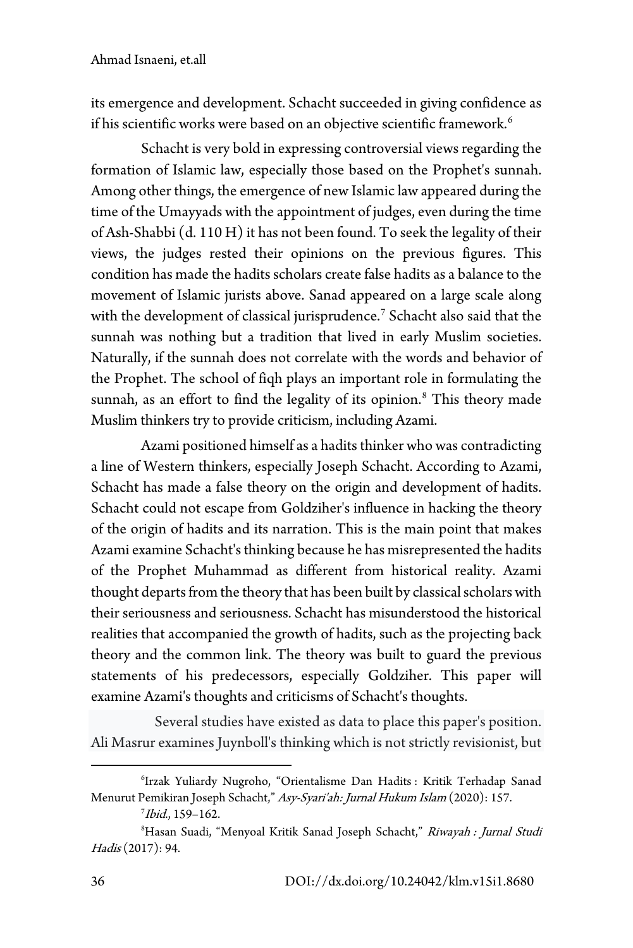its emergence and development. Schacht succeeded in giving confidence as if his scientific works were based on an objective scientific framework.<sup>[6](#page-3-0)</sup>

Schacht is very bold in expressing controversial views regarding the formation of Islamic law, especially those based on the Prophet's sunnah. Among other things, the emergence of new Islamic law appeared during the time of the Umayyads with the appointment of judges, even during the time of Ash-Shabbi (d. 110 H) it has not been found. To seek the legality of their views, the judges rested their opinions on the previous figures. This condition has made the hadits scholars create false hadits as a balance to the movement of Islamic jurists above. Sanad appeared on a large scale along with the development of classical jurisprudence.<sup>[7](#page-3-1)</sup> Schacht also said that the sunnah was nothing but a tradition that lived in early Muslim societies. Naturally, if the sunnah does not correlate with the words and behavior of the Prophet. The school of fiqh plays an important role in formulating the sunnah, as an effort to find the legality of its opinion.<sup>[8](#page-3-2)</sup> This theory made Muslim thinkers try to provide criticism, including Azami.

Azami positioned himself as a hadits thinker who was contradicting a line of Western thinkers, especially Joseph Schacht. According to Azami, Schacht has made a false theory on the origin and development of hadits. Schacht could not escape from Goldziher's influence in hacking the theory of the origin of hadits and its narration. This is the main point that makes Azami examine Schacht's thinking because he has misrepresented the hadits of the Prophet Muhammad as different from historical reality. Azami thought departs from the theory that has been built by classical scholars with their seriousness and seriousness. Schacht has misunderstood the historical realities that accompanied the growth of hadits, such as the projecting back theory and the common link. The theory was built to guard the previous statements of his predecessors, especially Goldziher. This paper will examine Azami's thoughts and criticisms of Schacht's thoughts.

Several studies have existed as data to place this paper's position. Ali Masrur examines Juynboll's thinking which is not strictly revisionist, but

<span id="page-3-0"></span><sup>6</sup> Irzak Yuliardy Nugroho, "Orientalisme Dan Hadits : Kritik Terhadap Sanad Menurut Pemikiran Joseph Schacht," Asy-Syari'ah: Jurnal Hukum Islam (2020): 157.

 $^7$ Ibid., 159–162.

<span id="page-3-2"></span><span id="page-3-1"></span><sup>&</sup>lt;sup>8</sup>Hasan Suadi, "Menyoal Kritik Sanad Joseph Schacht," *Riwayah : Jurnal Studi* Hadis (2017): 94.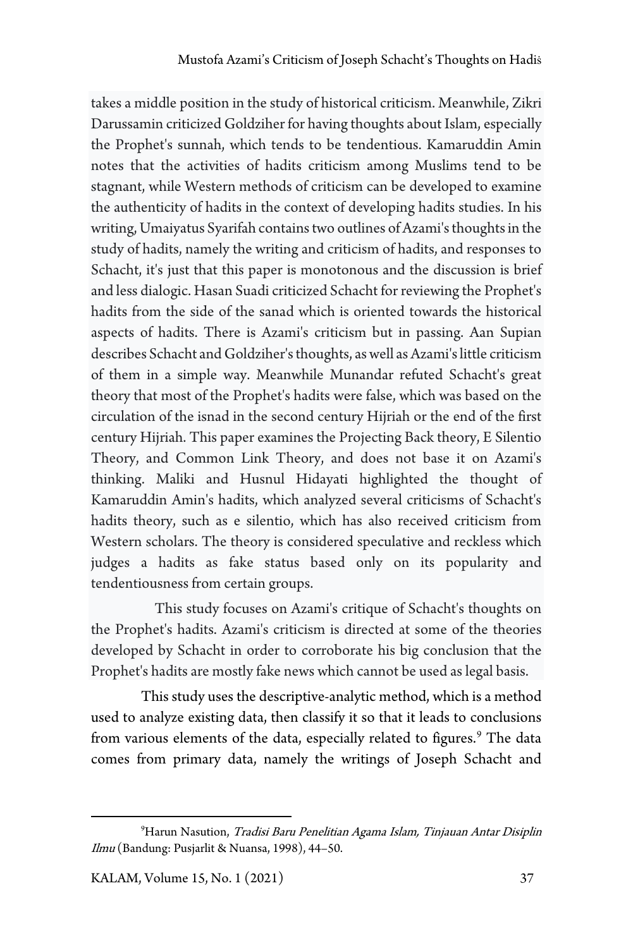takes a middle position in the study of historical criticism. Meanwhile, Zikri Darussamin criticized Goldziher for having thoughts about Islam, especially the Prophet's sunnah, which tends to be tendentious. Kamaruddin Amin notes that the activities of hadits criticism among Muslims tend to be stagnant, while Western methods of criticism can be developed to examine the authenticity of hadits in the context of developing hadits studies. In his writing, Umaiyatus Syarifah contains two outlines of Azami's thoughts in the study of hadits, namely the writing and criticism of hadits, and responses to Schacht, it's just that this paper is monotonous and the discussion is brief and less dialogic. Hasan Suadi criticized Schacht for reviewing the Prophet's hadits from the side of the sanad which is oriented towards the historical aspects of hadits. There is Azami's criticism but in passing. Aan Supian describes Schacht and Goldziher's thoughts, as well as Azami's little criticism of them in a simple way. Meanwhile Munandar refuted Schacht's great theory that most of the Prophet's hadits were false, which was based on the circulation of the isnad in the second century Hijriah or the end of the first century Hijriah. This paper examines the Projecting Back theory, E Silentio Theory, and Common Link Theory, and does not base it on Azami's thinking. Maliki and Husnul Hidayati highlighted the thought of Kamaruddin Amin's hadits, which analyzed several criticisms of Schacht's hadits theory, such as e silentio, which has also received criticism from Western scholars. The theory is considered speculative and reckless which judges a hadits as fake status based only on its popularity and tendentiousness from certain groups.

This study focuses on Azami's critique of Schacht's thoughts on the Prophet's hadits. Azami's criticism is directed at some of the theories developed by Schacht in order to corroborate his big conclusion that the Prophet's hadits are mostly fake news which cannot be used as legal basis.

This study uses the descriptive-analytic method, which is a method used to analyze existing data, then classify it so that it leads to conclusions from various elements of the data, especially related to figures.<sup>[9](#page-4-0)</sup> The data comes from primary data, namely the writings of Joseph Schacht and

<span id="page-4-0"></span><sup>9</sup> Harun Nasution, Tradisi Baru Penelitian Agama Islam, Tinjauan Antar Disiplin Ilmu (Bandung: Pusjarlit & Nuansa, 1998), 44–50.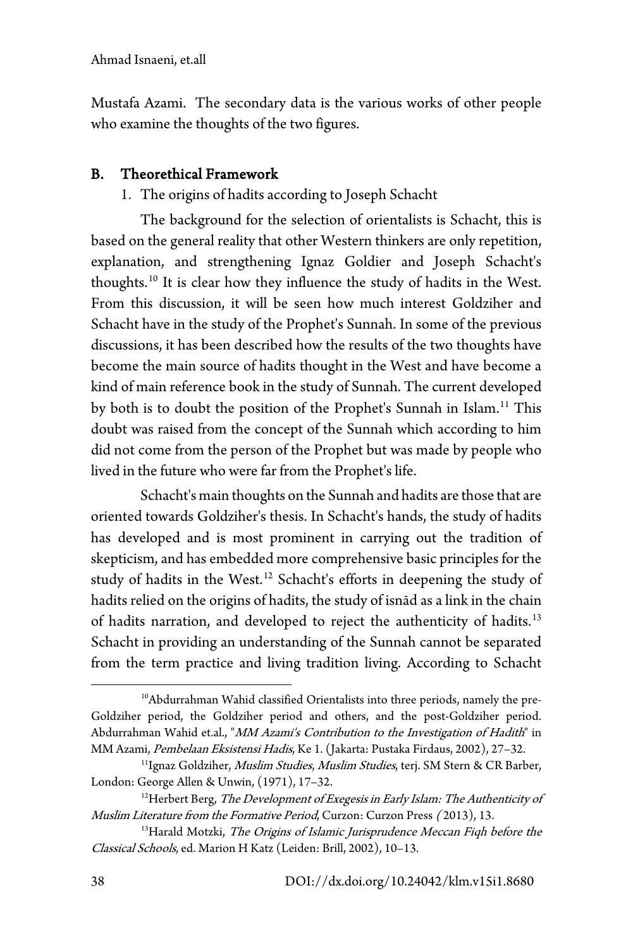Mustafa Azami. The secondary data is the various works of other people who examine the thoughts of the two figures.

# B. Theorethical Framework

1. The origins of hadits according to Joseph Schacht

The background for the selection of orientalists is Schacht, this is based on the general reality that other Western thinkers are only repetition, explanation, and strengthening Ignaz Goldier and Joseph Schacht's thoughts.[10](#page-5-0) It is clear how they influence the study of hadits in the West. From this discussion, it will be seen how much interest Goldziher and Schacht have in the study of the Prophet's Sunnah. In some of the previous discussions, it has been described how the results of the two thoughts have become the main source of hadits thought in the West and have become a kind of main reference book in the study of Sunnah. The current developed by both is to doubt the position of the Prophet's Sunnah in Islam.<sup>[11](#page-5-1)</sup> This doubt was raised from the concept of the Sunnah which according to him did not come from the person of the Prophet but was made by people who lived in the future who were far from the Prophet's life.

Schacht's main thoughts on the Sunnah and hadits are those that are oriented towards Goldziher's thesis. In Schacht's hands, the study of hadits has developed and is most prominent in carrying out the tradition of skepticism, and has embedded more comprehensive basic principles for the study of hadits in the West.[12](#page-5-2) Schacht's efforts in deepening the study of hadits relied on the origins of hadits, the study of isnād as a link in the chain of hadits narration, and developed to reject the authenticity of hadits.<sup>[13](#page-5-3)</sup> Schacht in providing an understanding of the Sunnah cannot be separated from the term practice and living tradition living. According to Schacht

<span id="page-5-0"></span><sup>&</sup>lt;sup>10</sup>Abdurrahman Wahid classified Orientalists into three periods, namely the pre-Goldziher period, the Goldziher period and others, and the post-Goldziher period. Abdurrahman Wahid et.al., "MM Azami's Contribution to the Investigation of Hadith" in MM Azami, Pembelaan Eksistensi Hadis, Ke 1. (Jakarta: Pustaka Firdaus, 2002), 27-32.

<span id="page-5-1"></span><sup>&</sup>lt;sup>11</sup>Ignaz Goldziher, Muslim Studies, Muslim Studies, terj. SM Stern & CR Barber, London: George Allen & Unwin, (1971), 17–32.

<span id="page-5-2"></span><sup>&</sup>lt;sup>12</sup>Herbert Berg, The Development of Exegesis in Early Islam: The Authenticity of Muslim Literature from the Formative Period, Curzon: Curzon Press ( 2013), 13.

<span id="page-5-3"></span><sup>&</sup>lt;sup>13</sup>Harald Motzki, The Origins of Islamic Jurisprudence Meccan Fiqh before the Classical Schools, ed. Marion H Katz (Leiden: Brill, 2002), 10–13.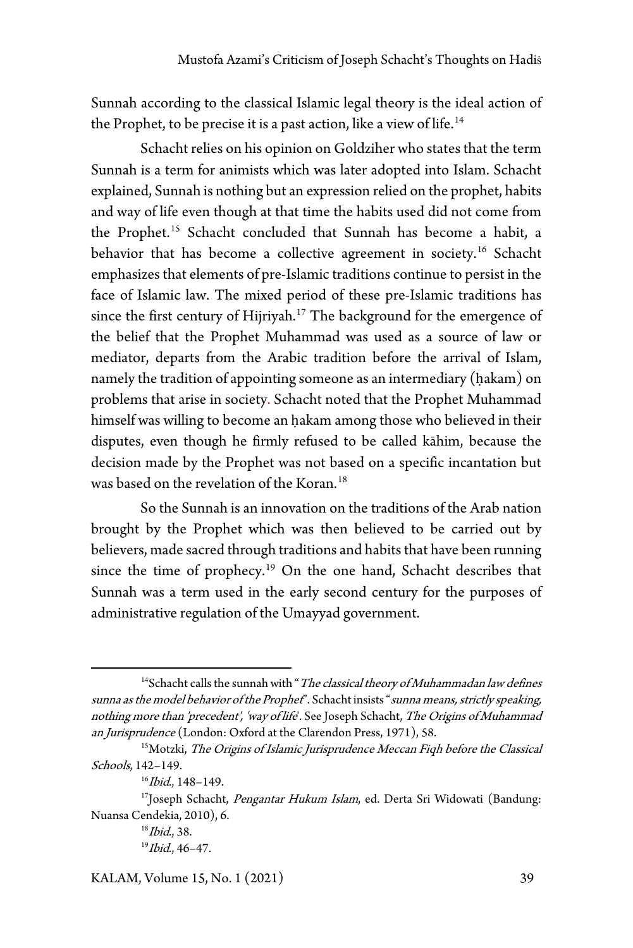Sunnah according to the classical Islamic legal theory is the ideal action of the Prophet, to be precise it is a past action, like a view of life.<sup>[14](#page-6-0)</sup>

Schacht relies on his opinion on Goldziher who states that the term Sunnah is a term for animists which was later adopted into Islam. Schacht explained, Sunnah is nothing but an expression relied on the prophet, habits and way of life even though at that time the habits used did not come from the Prophet.[15](#page-6-1) Schacht concluded that Sunnah has become a habit, a behavior that has become a collective agreement in society.<sup>[16](#page-6-2)</sup> Schacht emphasizes that elements of pre-Islamic traditions continue to persist in the face of Islamic law. The mixed period of these pre-Islamic traditions has since the first century of Hijriyah.<sup>[17](#page-6-3)</sup> The background for the emergence of the belief that the Prophet Muhammad was used as a source of law or mediator, departs from the Arabic tradition before the arrival of Islam, namely the tradition of appointing someone as an intermediary (ḥakam) on problems that arise in society. Schacht noted that the Prophet Muhammad himself was willing to become an ḥakam among those who believed in their disputes, even though he firmly refused to be called kāhim, because the decision made by the Prophet was not based on a specific incantation but was based on the revelation of the Koran.<sup>[18](#page-6-4)</sup>

So the Sunnah is an innovation on the traditions of the Arab nation brought by the Prophet which was then believed to be carried out by believers, made sacred through traditions and habits that have been running since the time of prophecy.<sup>[19](#page-6-5)</sup> On the one hand, Schacht describes that Sunnah was a term used in the early second century for the purposes of administrative regulation of the Umayyad government.

<span id="page-6-0"></span> $14$ Schacht calls the sunnah with "The classical theory of Muhammadan law defines sunna as the model behavior of the Prophet". Schacht insists "sunna means, strictly speaking, nothing more than 'precedent', 'way of life'. See Joseph Schacht, The Origins of Muhammad an Jurisprudence (London: Oxford at the Clarendon Press, 1971), 58.

<span id="page-6-1"></span><sup>&</sup>lt;sup>15</sup>Motzki, The Origins of Islamic Jurisprudence Meccan Fiqh before the Classical Schools, 142–149.

 $16$ Ibid., 148-149.

<span id="page-6-4"></span><span id="page-6-3"></span><span id="page-6-2"></span><sup>&</sup>lt;sup>17</sup>Joseph Schacht, Pengantar Hukum Islam, ed. Derta Sri Widowati (Bandung: Nuansa Cendekia, 2010), 6.

<sup>&</sup>lt;sup>18</sup>Ibid., 38.  $19$ *Ibid.*, 46-47.

<span id="page-6-5"></span>KALAM, Volume 15, No. 1 (2021) 39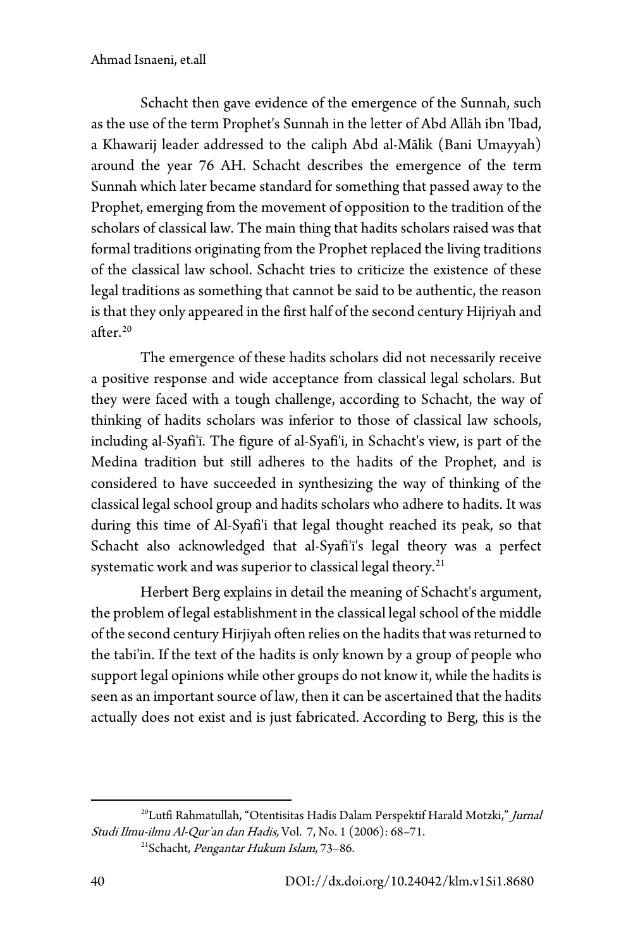#### Ahmad Isnaeni, et.all

Schacht then gave evidence of the emergence of the Sunnah, such as the use of the term Prophet's Sunnah in the letter of Abd Allāh ibn 'Ibad, a Khawarij leader addressed to the caliph Abd al-Mālik (Bani Umayyah) around the year 76 AH. Schacht describes the emergence of the term Sunnah which later became standard for something that passed away to the Prophet, emerging from the movement of opposition to the tradition of the scholars of classical law. The main thing that hadits scholars raised was that formal traditions originating from the Prophet replaced the living traditions of the classical law school. Schacht tries to criticize the existence of these legal traditions as something that cannot be said to be authentic, the reason is that they only appeared in the first half of the second century Hijriyah and after. $20$ 

The emergence of these hadits scholars did not necessarily receive a positive response and wide acceptance from classical legal scholars. But they were faced with a tough challenge, according to Schacht, the way of thinking of hadits scholars was inferior to those of classical law schools, including al-Syafi'ī. The figure of al-Syafi'i, in Schacht's view, is part of the Medina tradition but still adheres to the hadits of the Prophet, and is considered to have succeeded in synthesizing the way of thinking of the classical legal school group and hadits scholars who adhere to hadits. It was during this time of Al-Syafi'i that legal thought reached its peak, so that Schacht also acknowledged that al-Syafi'ī's legal theory was a perfect systematic work and was superior to classical legal theory.<sup>[21](#page-7-1)</sup>

Herbert Berg explains in detail the meaning of Schacht's argument, the problem of legal establishment in the classical legal school of the middle of the second century Hirjiyah often relies on the hadits that was returned to the tabi'in. If the text of the hadits is only known by a group of people who support legal opinions while other groups do not know it, while the hadits is seen as an important source of law, then it can be ascertained that the hadits actually does not exist and is just fabricated. According to Berg, this is the

<span id="page-7-1"></span><span id="page-7-0"></span><sup>&</sup>lt;sup>20</sup>Lutfi Rahmatullah, "Otentisitas Hadis Dalam Perspektif Harald Motzki," Jurnal Studi Ilmu-ilmu Al-Qur'an dan Hadis, Vol. 7, No. 1 (2006): 68–71. <sup>21</sup>Schacht, Pengantar Hukum Islam, 73-86.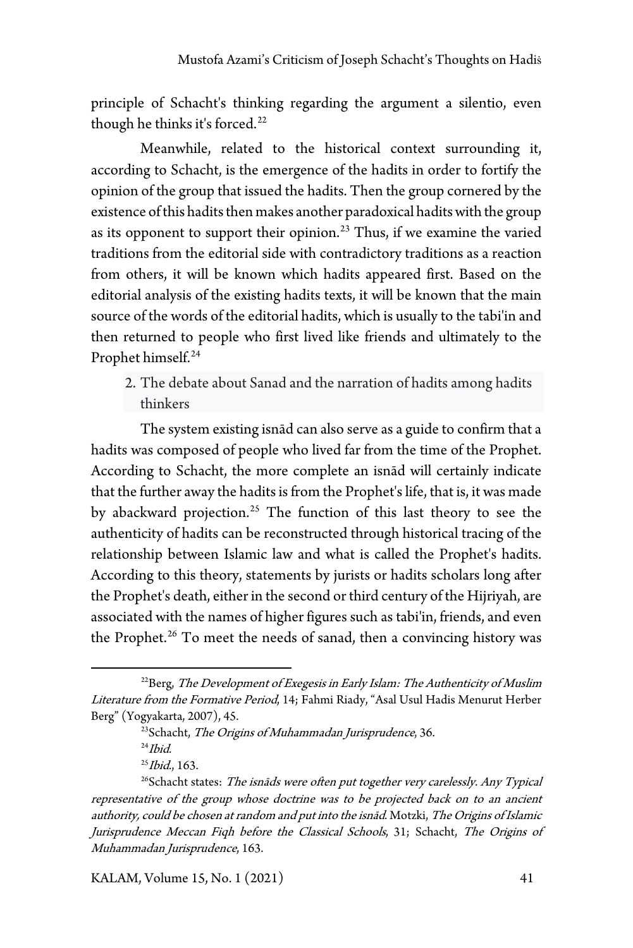principle of Schacht's thinking regarding the argument a silentio, even though he thinks it's forced.<sup>[22](#page-8-0)</sup>

Meanwhile, related to the historical context surrounding it, according to Schacht, is the emergence of the hadits in order to fortify the opinion of the group that issued the hadits. Then the group cornered by the existence of this hadits then makes another paradoxical hadits with the group as its opponent to support their opinion.<sup>[23](#page-8-1)</sup> Thus, if we examine the varied traditions from the editorial side with contradictory traditions as a reaction from others, it will be known which hadits appeared first. Based on the editorial analysis of the existing hadits texts, it will be known that the main source of the words of the editorial hadits, which is usually to the tabi'in and then returned to people who first lived like friends and ultimately to the Prophet himself.<sup>[24](#page-8-2)</sup>

2. The debate about Sanad and the narration of hadits among hadits thinkers

The system existing isnād can also serve as a guide to confirm that a hadits was composed of people who lived far from the time of the Prophet. According to Schacht, the more complete an isnād will certainly indicate that the further away the hadits is from the Prophet's life, that is, it was made by abackward projection.[25](#page-8-3) The function of this last theory to see the authenticity of hadits can be reconstructed through historical tracing of the relationship between Islamic law and what is called the Prophet's hadits. According to this theory, statements by jurists or hadits scholars long after the Prophet's death, either in the second or third century of the Hijriyah, are associated with the names of higher figures such as tabi'in, friends, and even the Prophet.<sup>[26](#page-8-4)</sup> To meet the needs of sanad, then a convincing history was

<span id="page-8-0"></span> $^{22}$ Berg, The Development of Exegesis in Early Islam: The Authenticity of Muslim Literature from the Formative Period, 14; Fahmi Riady, "Asal Usul Hadis Menurut Herber Berg" (Yogyakarta, 2007), 45.

<sup>&</sup>lt;sup>23</sup>Schacht, The Origins of Muhammadan Jurisprudence, 36.

 $24$ *Ibid.* 

 $^{25}$ *Ibid.*, 163.

<span id="page-8-4"></span><span id="page-8-3"></span><span id="page-8-2"></span><span id="page-8-1"></span><sup>&</sup>lt;sup>26</sup>Schacht states: The isnāds were often put together very carelessly. Any Typical representative of the group whose doctrine was to be projected back on to an ancient authority, could be chosen at random and put into the isnād. Motzki, The Origins of Islamic Jurisprudence Meccan Fiqh before the Classical Schools, 31; Schacht, The Origins of Muhammadan Jurisprudence, 163.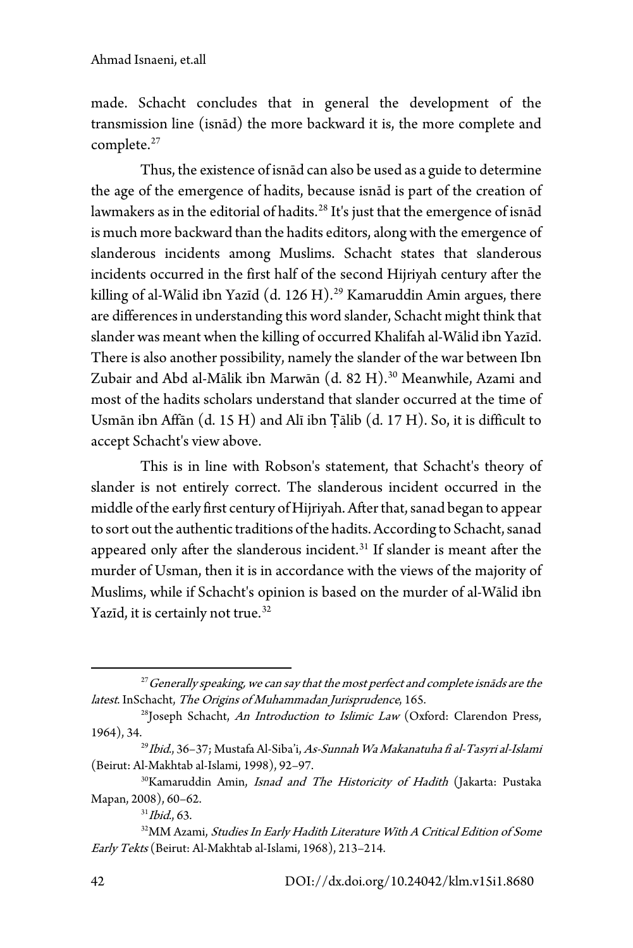made. Schacht concludes that in general the development of the transmission line (isnād) the more backward it is, the more complete and complete.<sup>[27](#page-9-0)</sup>

Thus, the existence of isnād can also be used as a guide to determine the age of the emergence of hadits, because isnād is part of the creation of lawmakers as in the editorial of hadits. [28](#page-9-1) It's just that the emergence of isnād is much more backward than the hadits editors, along with the emergence of slanderous incidents among Muslims. Schacht states that slanderous incidents occurred in the first half of the second Hijriyah century after the killing of al-Wālid ibn Yazīd (d. 126 H).<sup>[29](#page-9-2)</sup> Kamaruddin Amin argues, there are differences in understanding this word slander, Schacht might think that slander was meant when the killing of occurred Khalifah al-Wālid ibn Yazīd. There is also another possibility, namely the slander of the war between Ibn Zubair and Abd al-Mālik ibn Marwān (d. 82 H).<sup>[30](#page-9-3)</sup> Meanwhile, Azami and most of the hadits scholars understand that slander occurred at the time of Usmān ibn Affān (d. 15 H) and Alī ibn Ṭālib (d. 17 H). So, it is difficult to accept Schacht's view above.

This is in line with Robson's statement, that Schacht's theory of slander is not entirely correct. The slanderous incident occurred in the middle of the early first century of Hijriyah. After that, sanad began to appear to sort out the authentic traditions of the hadits. According to Schacht, sanad appeared only after the slanderous incident.[31](#page-9-4) If slander is meant after the murder of Usman, then it is in accordance with the views of the majority of Muslims, while if Schacht's opinion is based on the murder of al-Wālid ibn Yazīd, it is certainly not true.<sup>[32](#page-9-5)</sup>

<span id="page-9-0"></span> $27$  Generally speaking, we can say that the most perfect and complete isnāds are the latest. InSchacht, The Origins of Muhammadan Jurisprudence, 165.

<span id="page-9-1"></span><sup>&</sup>lt;sup>28</sup>Joseph Schacht, An Introduction to Islimic Law (Oxford: Clarendon Press, 1964), 34.<br><sup>29</sup>*Ibid.*, 36–37; Mustafa Al-Siba'i, *As-Sunnah Wa Makanatuha fi al-Tasyri al-Islami* 

<span id="page-9-2"></span><sup>(</sup>Beirut: Al-Makhtab al-Islami, 1998), 92–97.

<span id="page-9-3"></span><sup>&</sup>lt;sup>30</sup>Kamaruddin Amin, Isnad and The Historicity of Hadith (Jakarta: Pustaka Mapan, 2008), 60–62.

 $31$ *Ibid.*, 63.

<span id="page-9-5"></span><span id="page-9-4"></span><sup>&</sup>lt;sup>32</sup>MM Azami, Studies In Early Hadith Literature With A Critical Edition of Some Early Tekts (Beirut: Al-Makhtab al-Islami, 1968), 213–214.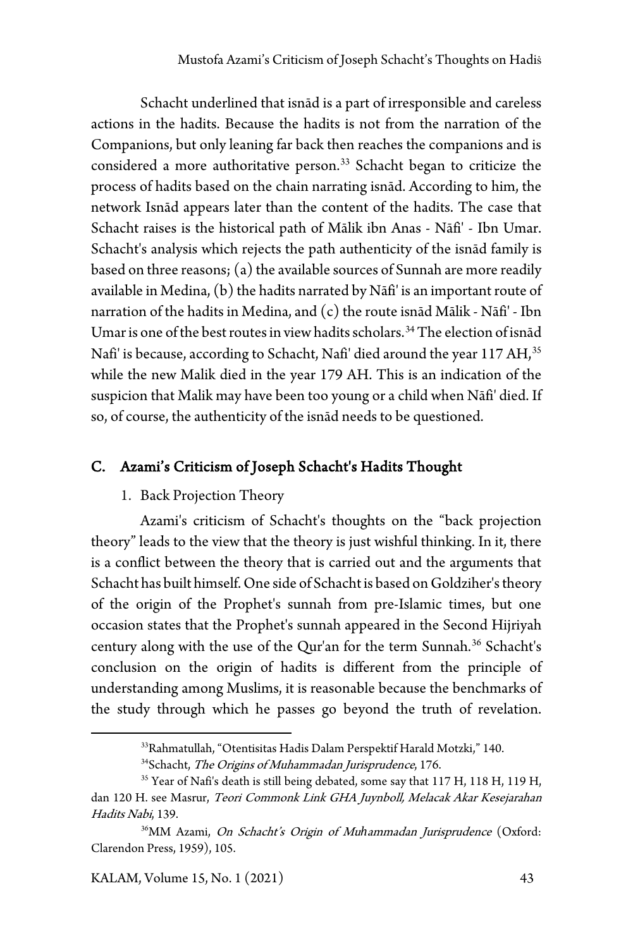Schacht underlined that isnād is a part of irresponsible and careless actions in the hadits. Because the hadits is not from the narration of the Companions, but only leaning far back then reaches the companions and is considered a more authoritative person.<sup>[33](#page-10-0)</sup> Schacht began to criticize the process of hadits based on the chain narrating isnād. According to him, the network Isnād appears later than the content of the hadits. The case that Schacht raises is the historical path of Mālik ibn Anas - Nāfi' - Ibn Umar. Schacht's analysis which rejects the path authenticity of the isnād family is based on three reasons; (a) the available sources of Sunnah are more readily available in Medina, (b) the hadits narrated by Nāfi' is an important route of narration of the hadits in Medina, and (c) the route isnād Mālik - Nāfi' - Ibn Umar is one of the best routes in view hadits scholars.<sup>[34](#page-10-1)</sup> The election of isnad Nafi' is because, according to Schacht, Nafi' died around the year 117 AH, [35](#page-10-2) while the new Malik died in the year 179 AH. This is an indication of the suspicion that Malik may have been too young or a child when Nāfi' died. If so, of course, the authenticity of the isnād needs to be questioned.

### C. Azami's Criticism of Joseph Schacht's Hadits Thought

#### 1. Back Projection Theory

Azami's criticism of Schacht's thoughts on the "back projection theory" leads to the view that the theory is just wishful thinking. In it, there is a conflict between the theory that is carried out and the arguments that Schacht has built himself. One side of Schacht is based on Goldziher's theory of the origin of the Prophet's sunnah from pre-Islamic times, but one occasion states that the Prophet's sunnah appeared in the Second Hijriyah century along with the use of the Qur'an for the term Sunnah.<sup>[36](#page-10-3)</sup> Schacht's conclusion on the origin of hadits is different from the principle of understanding among Muslims, it is reasonable because the benchmarks of the study through which he passes go beyond the truth of revelation.

<sup>33</sup>Rahmatullah, "Otentisitas Hadis Dalam Perspektif Harald Motzki," 140. <sup>34</sup>Schacht, The Origins of Muhammadan Jurisprudence, 176.

<span id="page-10-2"></span><span id="page-10-1"></span><span id="page-10-0"></span><sup>&</sup>lt;sup>35</sup> Year of Nafi's death is still being debated, some say that 117 H, 118 H, 119 H, dan 120 H. see Masrur, Teori Commonk Link GHA Juynboll, Melacak Akar Kesejarahan Hadits Nabi, 139.

<span id="page-10-3"></span><sup>36</sup>MM Azami, On Schacht's Origin of Mu*h*ammadan Jurisprudence (Oxford: Clarendon Press, 1959), 105.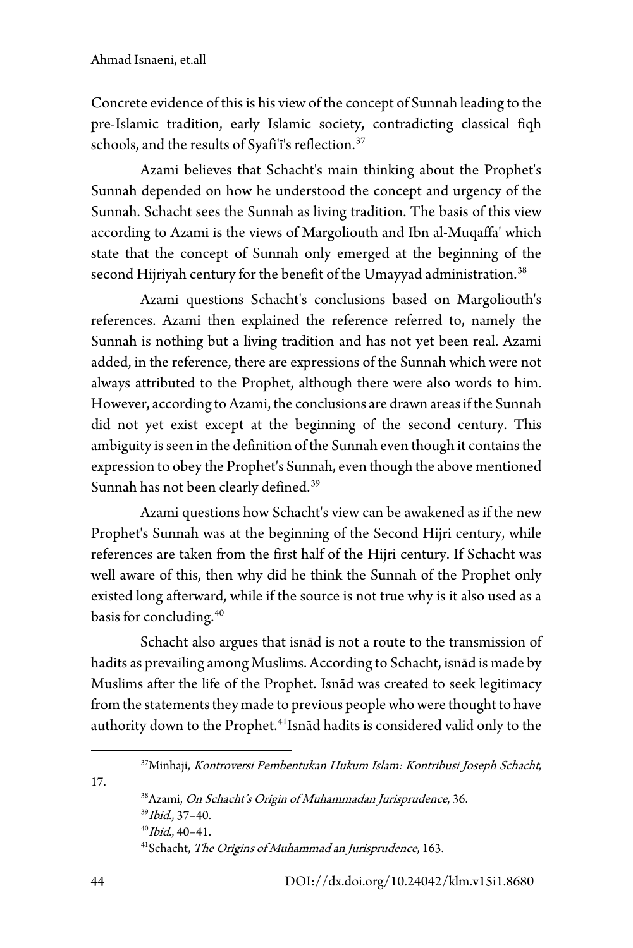Concrete evidence of this is his view of the concept of Sunnah leading to the pre-Islamic tradition, early Islamic society, contradicting classical fiqh schools, and the results of Syafi'i's reflection.<sup>[37](#page-11-0)</sup>

Azami believes that Schacht's main thinking about the Prophet's Sunnah depended on how he understood the concept and urgency of the Sunnah. Schacht sees the Sunnah as living tradition. The basis of this view according to Azami is the views of Margoliouth and Ibn al-Muqaffa' which state that the concept of Sunnah only emerged at the beginning of the second Hijriyah century for the benefit of the Umayyad administration.<sup>[38](#page-11-1)</sup>

Azami questions Schacht's conclusions based on Margoliouth's references. Azami then explained the reference referred to, namely the Sunnah is nothing but a living tradition and has not yet been real. Azami added, in the reference, there are expressions of the Sunnah which were not always attributed to the Prophet, although there were also words to him. However, according to Azami, the conclusions are drawn areas if the Sunnah did not yet exist except at the beginning of the second century. This ambiguity is seen in the definition of the Sunnah even though it contains the expression to obey the Prophet's Sunnah, even though the above mentioned Sunnah has not been clearly defined.[39](#page-11-2)

Azami questions how Schacht's view can be awakened as if the new Prophet's Sunnah was at the beginning of the Second Hijri century, while references are taken from the first half of the Hijri century. If Schacht was well aware of this, then why did he think the Sunnah of the Prophet only existed long afterward, while if the source is not true why is it also used as a basis for concluding.[40](#page-11-3)

Schacht also argues that isnād is not a route to the transmission of hadits as prevailing among Muslims. According to Schacht, isnād is made by Muslims after the life of the Prophet. Isnād was created to seek legitimacy from the statements they made to previous people who were thought to have authority down to the Prophet.[41](#page-11-4)Isnād hadits is considered valid only to the

37Minhaji, Kontroversi Pembentukan Hukum Islam: Kontribusi Joseph Schacht, 38 Azami, On Schacht's Origin of Muhammadan Jurisprudence, 36. <sup>39</sup>Ibid., 37–40.  $40$ <sup>40</sup>*Ibid.*, 40-41.

<sup>41</sup>Schacht, The Origins of Muhammad an Jurisprudence, 163.

<span id="page-11-4"></span><span id="page-11-3"></span><span id="page-11-2"></span><span id="page-11-1"></span><span id="page-11-0"></span>17.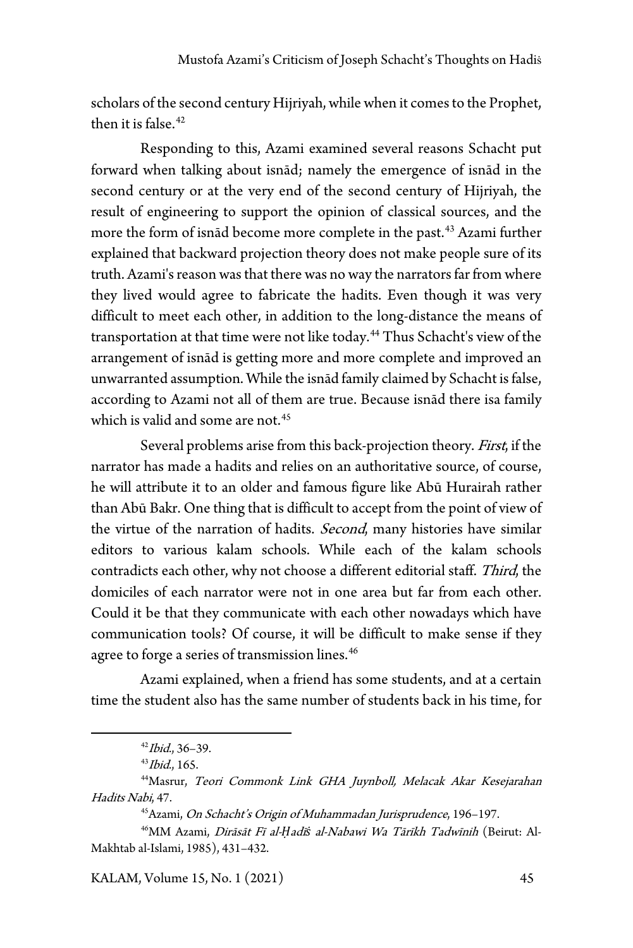scholars of the second century Hijriyah, while when it comes to the Prophet, then it is false. $42$ 

Responding to this, Azami examined several reasons Schacht put forward when talking about isnād; namely the emergence of isnād in the second century or at the very end of the second century of Hijriyah, the result of engineering to support the opinion of classical sources, and the more the form of isnād become more complete in the past.<sup>[43](#page-12-1)</sup> Azami further explained that backward projection theory does not make people sure of its truth. Azami's reason was that there was no way the narrators far from where they lived would agree to fabricate the hadits. Even though it was very difficult to meet each other, in addition to the long-distance the means of transportation at that time were not like today.<sup>[44](#page-12-2)</sup> Thus Schacht's view of the arrangement of isnād is getting more and more complete and improved an unwarranted assumption. While the isnād family claimed by Schacht is false, according to Azami not all of them are true. Because isnād there isa family which is valid and some are not.<sup>[45](#page-12-3)</sup>

Several problems arise from this back-projection theory. First, if the narrator has made a hadits and relies on an authoritative source, of course, he will attribute it to an older and famous figure like Abū Hurairah rather than Abū Bakr. One thing that is difficult to accept from the point of view of the virtue of the narration of hadits. Second, many histories have similar editors to various kalam schools. While each of the kalam schools contradicts each other, why not choose a different editorial staff. Third, the domiciles of each narrator were not in one area but far from each other. Could it be that they communicate with each other nowadays which have communication tools? Of course, it will be difficult to make sense if they agree to forge a series of transmission lines.<sup>[46](#page-12-4)</sup>

Azami explained, when a friend has some students, and at a certain time the student also has the same number of students back in his time, for

45Azami, On Schacht's Origin of Muhammadan Jurisprudence, 196–197.

 $42$ *Ibid.*, 36-39.

 $43$ *Ibid.*, 165.

<span id="page-12-2"></span><span id="page-12-1"></span><span id="page-12-0"></span><sup>44</sup>Masrur, Teori Commonk Link GHA Juynboll, Melacak Akar Kesejarahan Hadits Nabi, 47.

<span id="page-12-4"></span><span id="page-12-3"></span><sup>46</sup>MM Azami, Dirāsāt Fī al-*Ḥ*adī*ṡ* al-Nabawi Wa Tārīkh Tadwīnih (Beirut: Al-Makhtab al-Islami, 1985), 431–432.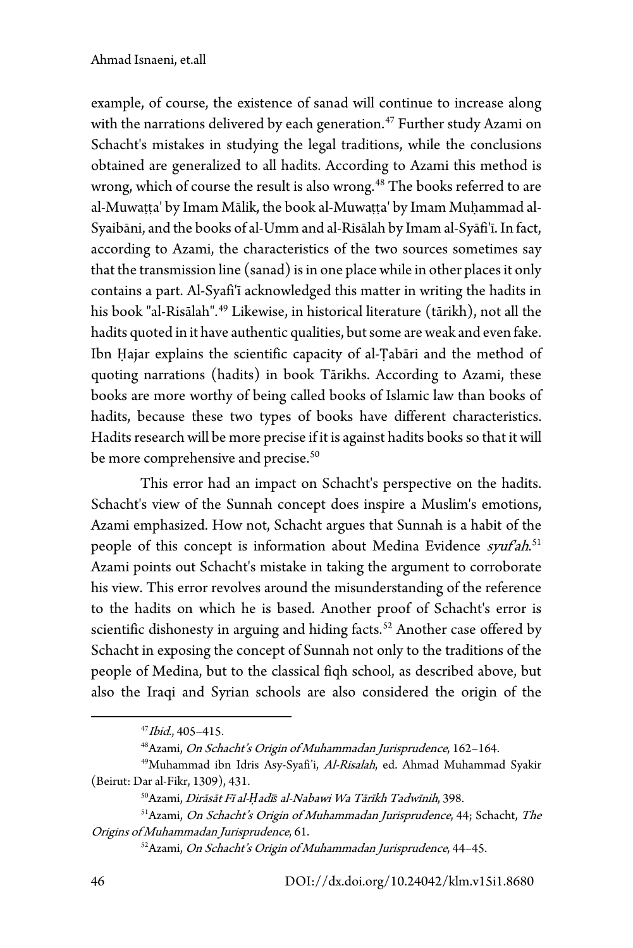example, of course, the existence of sanad will continue to increase along with the narrations delivered by each generation.<sup>[47](#page-13-0)</sup> Further study Azami on Schacht's mistakes in studying the legal traditions, while the conclusions obtained are generalized to all hadits. According to Azami this method is wrong, which of course the result is also wrong.<sup>[48](#page-13-1)</sup> The books referred to are al-Muwaṭṭa' by Imam Mālik, the book al-Muwaṭṭa' by Imam Muḥammad al-Syaibāni, and the books of al-Umm and al-Risālah by Imam al-Syāfi'ī.In fact, according to Azami, the characteristics of the two sources sometimes say that the transmission line (sanad) is in one place while in other places it only contains a part. Al-Syafi'ī acknowledged this matter in writing the hadits in his book "al-Risālah".<sup>[49](#page-13-2)</sup> Likewise, in historical literature (tārikh), not all the hadits quoted in it have authentic qualities, but some are weak and even fake. Ibn Ḥajar explains the scientific capacity of al-Ṭabāri and the method of quoting narrations (hadits) in book Tārikhs. According to Azami, these books are more worthy of being called books of Islamic law than books of hadits, because these two types of books have different characteristics. Hadits research will be more precise if it is against hadits books so that it will be more comprehensive and precise.<sup>50</sup>

This error had an impact on Schacht's perspective on the hadits. Schacht's view of the Sunnah concept does inspire a Muslim's emotions, Azami emphasized. How not, Schacht argues that Sunnah is a habit of the people of this concept is information about Medina Evidence syuf'ah.<sup>[51](#page-13-4)</sup> Azami points out Schacht's mistake in taking the argument to corroborate his view. This error revolves around the misunderstanding of the reference to the hadits on which he is based. Another proof of Schacht's error is scientific dishonesty in arguing and hiding facts.<sup>[52](#page-13-5)</sup> Another case offered by Schacht in exposing the concept of Sunnah not only to the traditions of the people of Medina, but to the classical fiqh school, as described above, but also the Iraqi and Syrian schools are also considered the origin of the

 $47$ *Ibid.*,  $405 - 415$ .

<sup>48</sup>Azami, On Schacht's Origin of Muhammadan Jurisprudence, 162–164.

<span id="page-13-2"></span><span id="page-13-1"></span><span id="page-13-0"></span><sup>&</sup>lt;sup>49</sup>Muhammad ibn Idris Asy-Syafi'i, Al-Risalah, ed. Ahmad Muhammad Syakir (Beirut: Dar al-Fikr, 1309), 431.

<sup>50</sup>Azami, Dirāsāt Fī al-*Ḥ*adī*ṡ* al-Nabawi Wa Tārīkh Tadwīnih, 398.

<span id="page-13-5"></span><span id="page-13-4"></span><span id="page-13-3"></span><sup>51</sup> Azami, On Schacht's Origin of Muhammadan Jurisprudence, 44; Schacht, The Origins of Muhammadan Jurisprudence, 61.

<sup>52</sup>Azami, On Schacht's Origin of Muhammadan Jurisprudence, 44–45.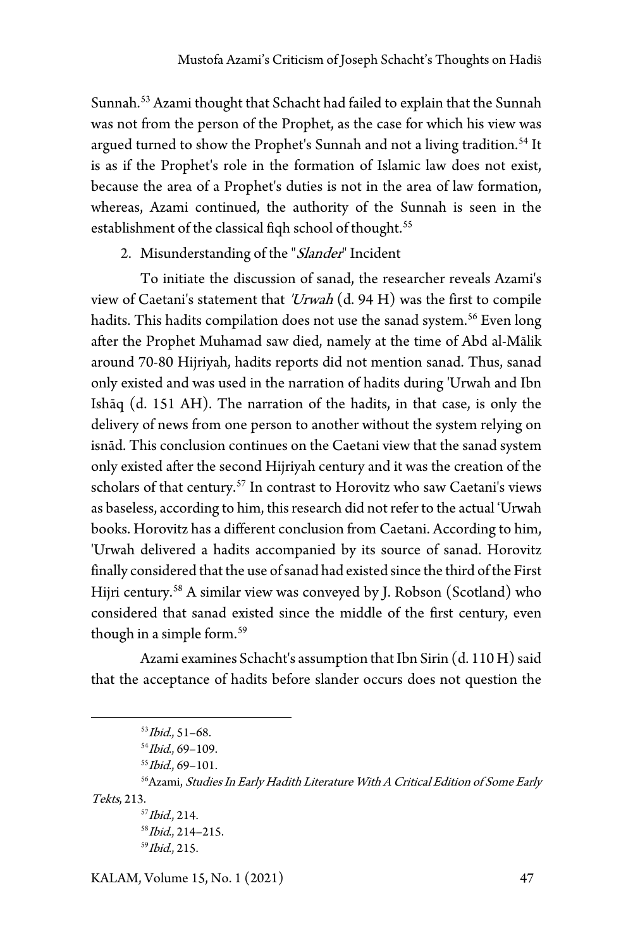Sunnah.<sup>[53](#page-14-0)</sup> Azami thought that Schacht had failed to explain that the Sunnah was not from the person of the Prophet, as the case for which his view was argued turned to show the Prophet's Sunnah and not a living tradition.<sup>[54](#page-14-1)</sup> It is as if the Prophet's role in the formation of Islamic law does not exist, because the area of a Prophet's duties is not in the area of law formation, whereas, Azami continued, the authority of the Sunnah is seen in the establishment of the classical fiqh school of thought.<sup>[55](#page-14-2)</sup>

2. Misunderstanding of the "Slander" Incident

To initiate the discussion of sanad, the researcher reveals Azami's view of Caetani's statement that ' $U$ *rwah*  $(d. 94 H)$  was the first to compile hadits. This hadits compilation does not use the sanad system.<sup>[56](#page-14-3)</sup> Even long after the Prophet Muhamad saw died, namely at the time of Abd al-Mālik around 70-80 Hijriyah, hadits reports did not mention sanad. Thus, sanad only existed and was used in the narration of hadits during 'Urwah and Ibn Ishāq (d. 151 AH). The narration of the hadits, in that case, is only the delivery of news from one person to another without the system relying on isnād. This conclusion continues on the Caetani view that the sanad system only existed after the second Hijriyah century and it was the creation of the scholars of that century.<sup>[57](#page-14-4)</sup> In contrast to Horovitz who saw Caetani's views as baseless, according to him, this research did not refer to the actual 'Urwah books. Horovitz has a different conclusion from Caetani. According to him, 'Urwah delivered a hadits accompanied by its source of sanad. Horovitz finally considered that the use of sanad had existed since the third of the First Hijri century.[58](#page-14-5) A similar view was conveyed by J. Robson (Scotland) who considered that sanad existed since the middle of the first century, even though in a simple form.<sup>[59](#page-14-6)</sup>

Azami examines Schacht's assumption that Ibn Sirin (d. 110 H) said that the acceptance of hadits before slander occurs does not question the

```
58Ibid., 214–215. 59Ibid., 215.
```
<sup>53</sup>Ibid., 51–68.

 $54$ *Ibid.*, 69–109.

 $55$ *Ibid.*, 69-101.

<span id="page-14-6"></span><span id="page-14-5"></span><span id="page-14-4"></span><span id="page-14-3"></span><span id="page-14-2"></span><span id="page-14-1"></span><span id="page-14-0"></span><sup>&</sup>lt;sup>56</sup> Azami, Studies In Early Hadith Literature With A Critical Edition of Some Early Tekts, 213.<br> $57$ *Ibid.*, 214.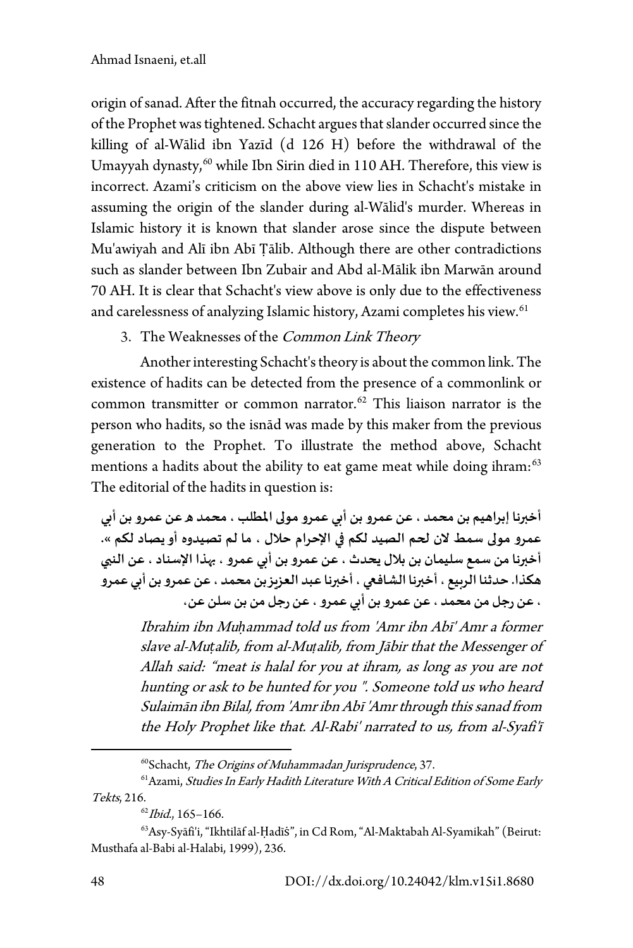origin of sanad. After the fitnah occurred, the accuracy regarding the history of the Prophet was tightened. Schacht argues that slander occurred since the killing of al-Wālid ibn Yazīd (d 126 H) before the withdrawal of the Umayyah dynasty,<sup>[60](#page-15-0)</sup> while Ibn Sirin died in 110 AH. Therefore, this view is incorrect. Azami's criticism on the above view lies in Schacht's mistake in assuming the origin of the slander during al-Wālid's murder. Whereas in Islamic history it is known that slander arose since the dispute between Mu'awiyah and Alī ibn Abī Ṭālib. Although there are other contradictions such as slander between Ibn Zubair and Abd al-Mālik ibn Marwān around 70 AH. It is clear that Schacht's view above is only due to the effectiveness and carelessness of analyzing Islamic history, Azami completes his view.<sup>61</sup>

3. The Weaknesses of the Common Link Theory

Another interesting Schacht's theory is about the common link. The existence of hadits can be detected from the presence of a commonlink or common transmitter or common narrator. [62](#page-15-2) This liaison narrator is the person who hadits, so the isnād was made by this maker from the previous generation to the Prophet. To illustrate the method above, Schacht mentions a hadits about the ability to eat game meat while doing ihram:<sup>[63](#page-15-3)</sup> The editorial of the hadits in question is:

**أخ��نا إبراهيم بن محمد ، عن عمروبن أ�ي عمرو مو�� المطلب ، محمد ه عن عمرو بن أ�ي عمرو مو�� سمط لان �حم الصيد لكم �� الإحرام حلال ، ما لم تصيدوه أو يصاد لكم ». أخ��نا من سمع سليمان بن بلال يحدث ، عن عمرو بن أ�ي عمرو ، ��ذا الإسناد ، عن الن�ي هكذا. حدثنا الر�يع ، أخ��نا الشاف�� ، أخ��نا عبد العز�ز بن محمد ، عن عمرو بن أ�ي عمرو ، عن رجل من محمد ، عن عمرو بن أ�ي عمرو ، عن رجل من بن سلن عن،**

Ibrahim ibn Mu*ḥ*ammad told us from 'Amr ibn Abī' Amr a former slave al-Mu*ṭ*alib, from al-Mu*ṭ*alib, from Jābir that the Messenger of Allah said: "meat is halal for you at ihram, as long as you are not hunting or ask to be hunted for you ". Someone told us who heard Sulaimān ibn Bilal, from 'Amr ibn Abī 'Amr through this sanad from the Holy Prophet like that. Al-Rabi' narrated to us, from al-Syafi'ī

<sup>60</sup>Schacht, The Origins of Muhammadan Jurisprudence, 37.

<sup>&</sup>lt;sup>61</sup> Azami, Studies In Early Hadith Literature With A Critical Edition of Some Early

<span id="page-15-1"></span><span id="page-15-0"></span>Tekts, 216.<br><sup>62</sup>*Ibid.*, 165–166.

<span id="page-15-3"></span><span id="page-15-2"></span><sup>63</sup>Asy-Syāfi'i,"Ikhtilāf al-Ḥadīṡ", in Cd Rom, "Al-Maktabah Al-Syamikah" (Beirut: Musthafa al-Babi al-Halabi, 1999), 236.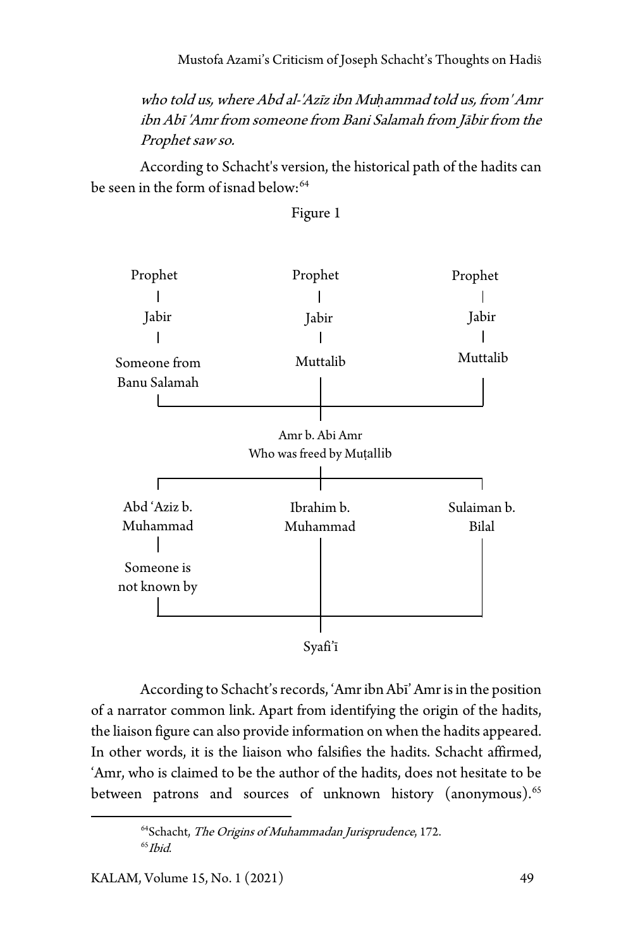Mustofa Azami's Criticism of Joseph Schacht's Thoughts on Hadis

who told us, where Abd al-'Azīz ibn Mu*ḥ*ammad told us, from' Amr ibn Abī 'Amr from someone from Bani Salamah from Jābir from the Prophet saw so.

According to Schacht's version, the historical path of the hadits can be seen in the form of isnad below:<sup>[64](#page-16-0)</sup>



Figure 1

According to Schacht's records, 'Amr ibn Abī' Amr is in the position of a narrator common link. Apart from identifying the origin of the hadits, the liaison figure can also provide information on when the hadits appeared. In other words, it is the liaison who falsifies the hadits. Schacht affirmed, 'Amr, who is claimed to be the author of the hadits, does not hesitate to be between patrons and sources of unknown history (anonymous).<sup>[65](#page-16-1)</sup>

<span id="page-16-1"></span><span id="page-16-0"></span><sup>&</sup>lt;sup>64</sup>Schacht, The Origins of Muhammadan Jurisprudence, 172.  $65$ *Ihid*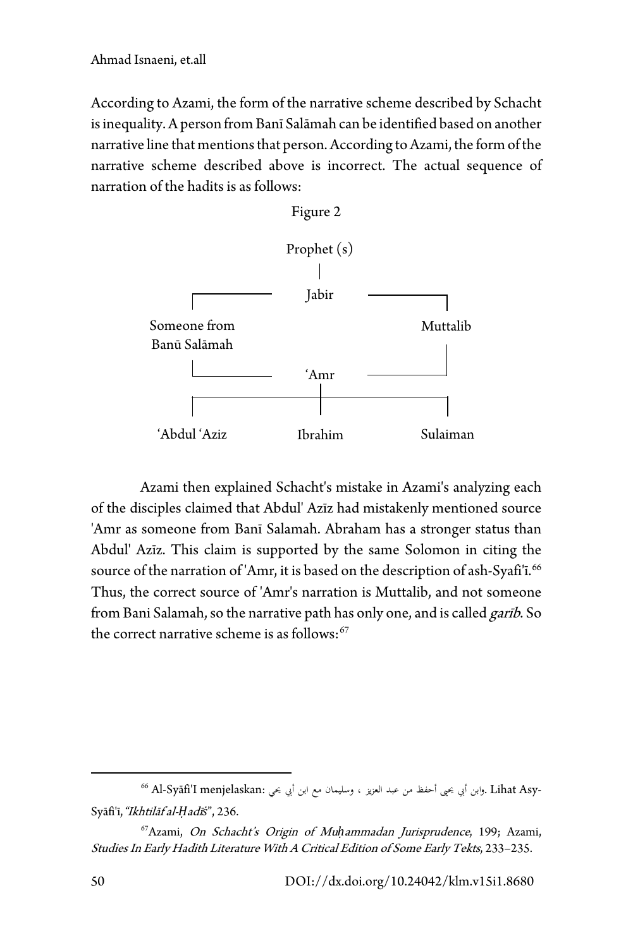According to Azami, the form of the narrative scheme described by Schacht is inequality. A person from Banī Salāmah can be identified based on another narrative line that mentions that person. According to Azami, the form of the narrative scheme described above is incorrect. The actual sequence of narration of the hadits is as follows:



Azami then explained Schacht's mistake in Azami's analyzing each of the disciples claimed that Abdul' Azīz had mistakenly mentioned source 'Amr as someone from Banī Salamah. Abraham has a stronger status than Abdul' Azīz. This claim is supported by the same Solomon in citing the source of the narration of 'Amr, it is based on the description of ash-Syafi'i.<sup>[66](#page-17-0)</sup> Thus, the correct source of 'Amr's narration is Muttalib, and not someone from Bani Salamah, so the narrative path has only one, and is called garib. So the correct narrative scheme is as follows:<sup>[67](#page-17-1)</sup>

<span id="page-17-0"></span><sup>.</sup> وابن أبي يحيى أحفظ من عبد العزيز ، وسليمان مع ابن أبي يحي :Syāfi'ī, *"Ikhtilāf al-Ḥadīš",* 236.<br>Syāfi'ī, *"Ikhtilāf al-Ḥadīš",* 236.

<span id="page-17-1"></span><sup>67</sup>Azami, On Schacht's Origin of Mu*ḥ*ammadan Jurisprudence, 199; Azami, Studies In Early Hadith Literature With A Critical Edition of Some Early Tekts, 233–235.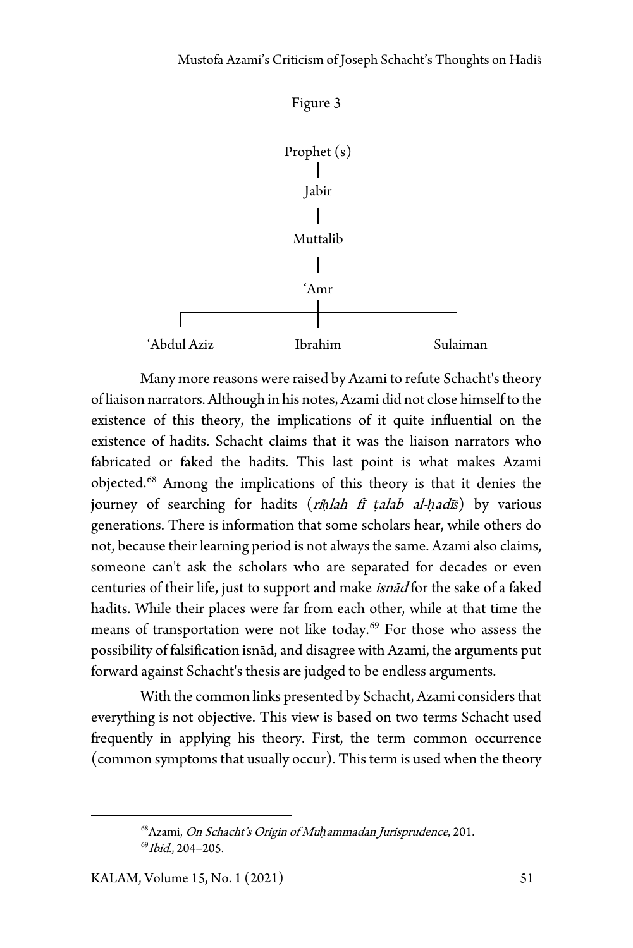

Many more reasons were raised by Azami to refute Schacht's theory of liaison narrators. Although in his notes, Azami did not close himself to the existence of this theory, the implications of it quite influential on the existence of hadits. Schacht claims that it was the liaison narrators who fabricated or faked the hadits. This last point is what makes Azami objected.[68](#page-18-0) Among the implications of this theory is that it denies the journey of searching for hadits (ri*ḥ*lah fī *ṭ*alab al-*ḥ*adī*ṡ*) by various generations. There is information that some scholars hear, while others do not, because their learning period is not always the same. Azami also claims, someone can't ask the scholars who are separated for decades or even centuries of their life, just to support and make isnād for the sake of a faked hadits. While their places were far from each other, while at that time the means of transportation were not like today.<sup>[69](#page-18-1)</sup> For those who assess the possibility of falsification isnād, and disagree with Azami, the arguments put forward against Schacht's thesis are judged to be endless arguments.

With the common links presented by Schacht, Azami considers that everything is not objective. This view is based on two terms Schacht used frequently in applying his theory. First, the term common occurrence (common symptoms that usually occur). This term is used when the theory

<span id="page-18-1"></span><span id="page-18-0"></span><sup>68</sup>Azami, On Schacht's Origin of Mu*ḥ*ammadan Jurisprudence, 201.  $^{69}$ *Ibid.*, 204-205.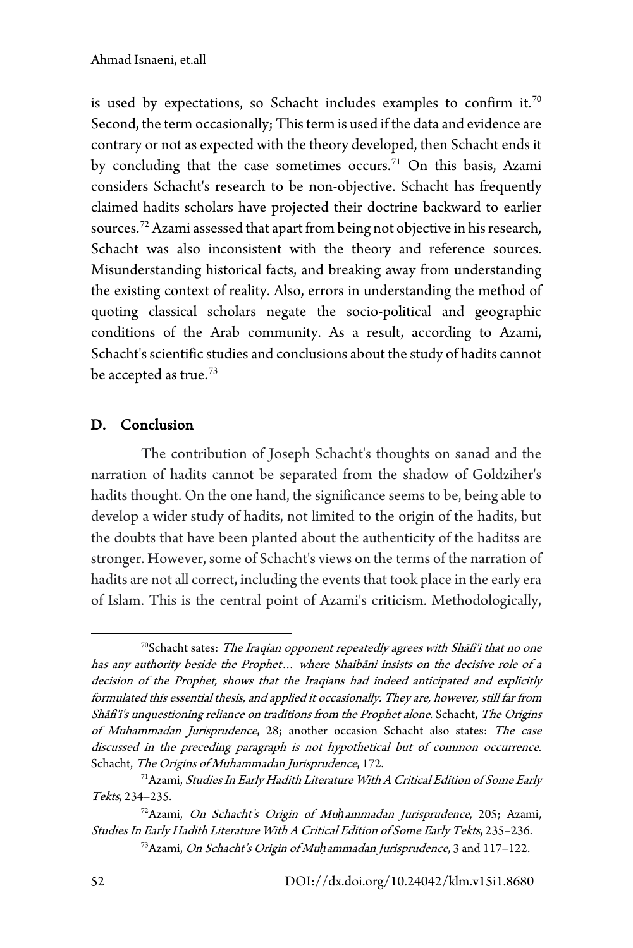is used by expectations, so Schacht includes examples to confirm it.<sup>[70](#page-19-0)</sup> Second, the term occasionally; This term is used if the data and evidence are contrary or not as expected with the theory developed, then Schacht ends it by concluding that the case sometimes occurs.<sup>[71](#page-19-1)</sup> On this basis, Azami considers Schacht's research to be non-objective. Schacht has frequently claimed hadits scholars have projected their doctrine backward to earlier sources[.72](#page-19-2) Azami assessed that apart from being not objective in his research, Schacht was also inconsistent with the theory and reference sources. Misunderstanding historical facts, and breaking away from understanding the existing context of reality. Also, errors in understanding the method of quoting classical scholars negate the socio-political and geographic conditions of the Arab community. As a result, according to Azami, Schacht's scientific studies and conclusions about the study of hadits cannot be accepted as true.<sup>[73](#page-19-3)</sup>

# D. Conclusion

The contribution of Joseph Schacht's thoughts on sanad and the narration of hadits cannot be separated from the shadow of Goldziher's hadits thought. On the one hand, the significance seems to be, being able to develop a wider study of hadits, not limited to the origin of the hadits, but the doubts that have been planted about the authenticity of the haditss are stronger. However, some of Schacht's views on the terms of the narration of hadits are not all correct, including the events that took place in the early era of Islam. This is the central point of Azami's criticism. Methodologically,

<span id="page-19-0"></span><sup>&</sup>lt;sup>70</sup>Schacht sates: The Iraqian opponent repeatedly agrees with Shāfi'i that no one has any authority beside the Prophet… where Shaibāni insists on the decisive role of a decision of the Prophet, shows that the Iraqians had indeed anticipated and explicitly formulated this essential thesis, and applied it occasionally. They are, however, still far from Shāfi'i's unquestioning reliance on traditions from the Prophet alone. Schacht, The Origins of Muhammadan Jurisprudence, 28; another occasion Schacht also states: The case discussed in the preceding paragraph is not hypothetical but of common occurrence. Schacht, The Origins of Muhammadan Jurisprudence, 172.

<span id="page-19-1"></span><sup>&</sup>lt;sup>71</sup> Azami, *Studies In Early Hadith Literature With A Critical Edition of Some Early* Tekts, 234–235.

<span id="page-19-3"></span><span id="page-19-2"></span><sup>72</sup>Azami, On Schacht's Origin of Mu*ḥ*ammadan Jurisprudence, 205; Azami, Studies In Early Hadith Literature With A Critical Edition of Some Early Tekts, 235–236.

<sup>73</sup>Azami, On Schacht's Origin of Mu*ḥ*ammadan Jurisprudence, 3 and 117–122.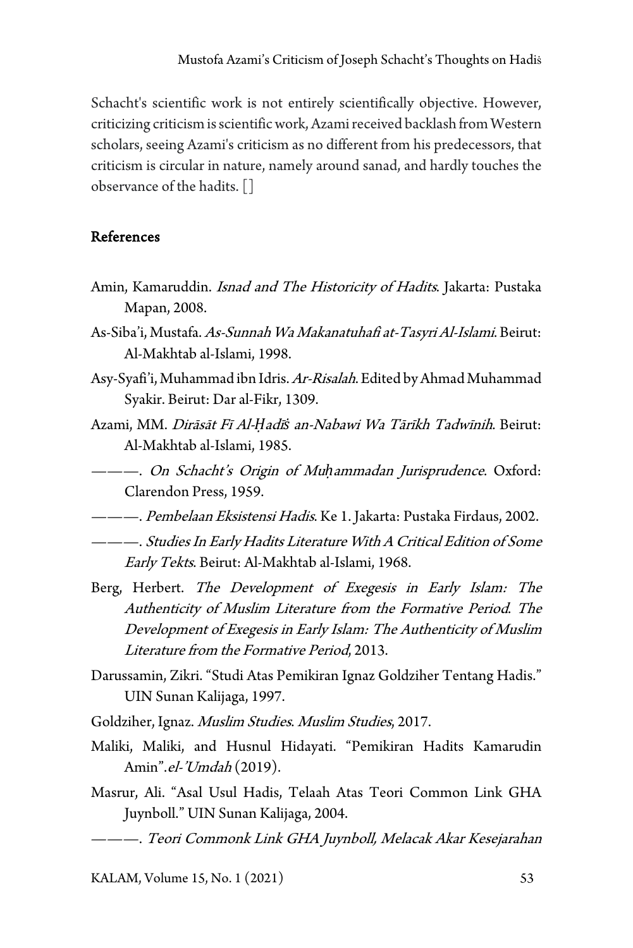Schacht's scientific work is not entirely scientifically objective. However, criticizing criticism is scientific work, Azami received backlash from Western scholars, seeing Azami's criticism as no different from his predecessors, that criticism is circular in nature, namely around sanad, and hardly touches the observance of the hadits.[]

### References

- Amin, Kamaruddin. Isnad and The Historicity of Hadits. Jakarta: Pustaka Mapan, 2008.
- As-Siba'i, Mustafa. As-Sunnah Wa Makanatuhafi at-Tasyri Al-Islami. Beirut: Al-Makhtab al-Islami, 1998.
- Asy-Syafi'i, Muhammad ibn Idris. Ar-Risalah. Edited by Ahmad Muhammad Syakir. Beirut: Dar al-Fikr, 1309.
- Azami, MM. Dirāsāt Fī Al-*Ḥ*adī*ṡ* an-Nabawi Wa Tārīkh Tadwīnih. Beirut: Al-Makhtab al-Islami, 1985.
- ———. On Schacht's Origin of Mu*ḥ*ammadan Jurisprudence. Oxford: Clarendon Press, 1959.
- ———. *Pembelaan Eksistensi Hadis*. Ke 1. Jakarta: Pustaka Firdaus, 2002.
- ———. Studies In Early Hadits Literature With A Critical Edition of Some Early Tekts. Beirut: Al-Makhtab al-Islami, 1968.
- Berg, Herbert. The Development of Exegesis in Early Islam: The Authenticity of Muslim Literature from the Formative Period. The Development of Exegesis in Early Islam: The Authenticity of Muslim Literature from the Formative Period, 2013.
- Darussamin, Zikri. "Studi Atas Pemikiran Ignaz Goldziher Tentang Hadis." UIN Sunan Kalijaga, 1997.
- Goldziher, Ignaz. Muslim Studies. Muslim Studies, 2017.
- Maliki, Maliki, and Husnul Hidayati. "Pemikiran Hadits Kamarudin Amin".el-'Umdah (2019).
- Masrur, Ali. "Asal Usul Hadis, Telaah Atas Teori Common Link GHA Juynboll." UIN Sunan Kalijaga, 2004.
- ———. Teori Commonk Link GHA Juynboll, Melacak Akar Kesejarahan